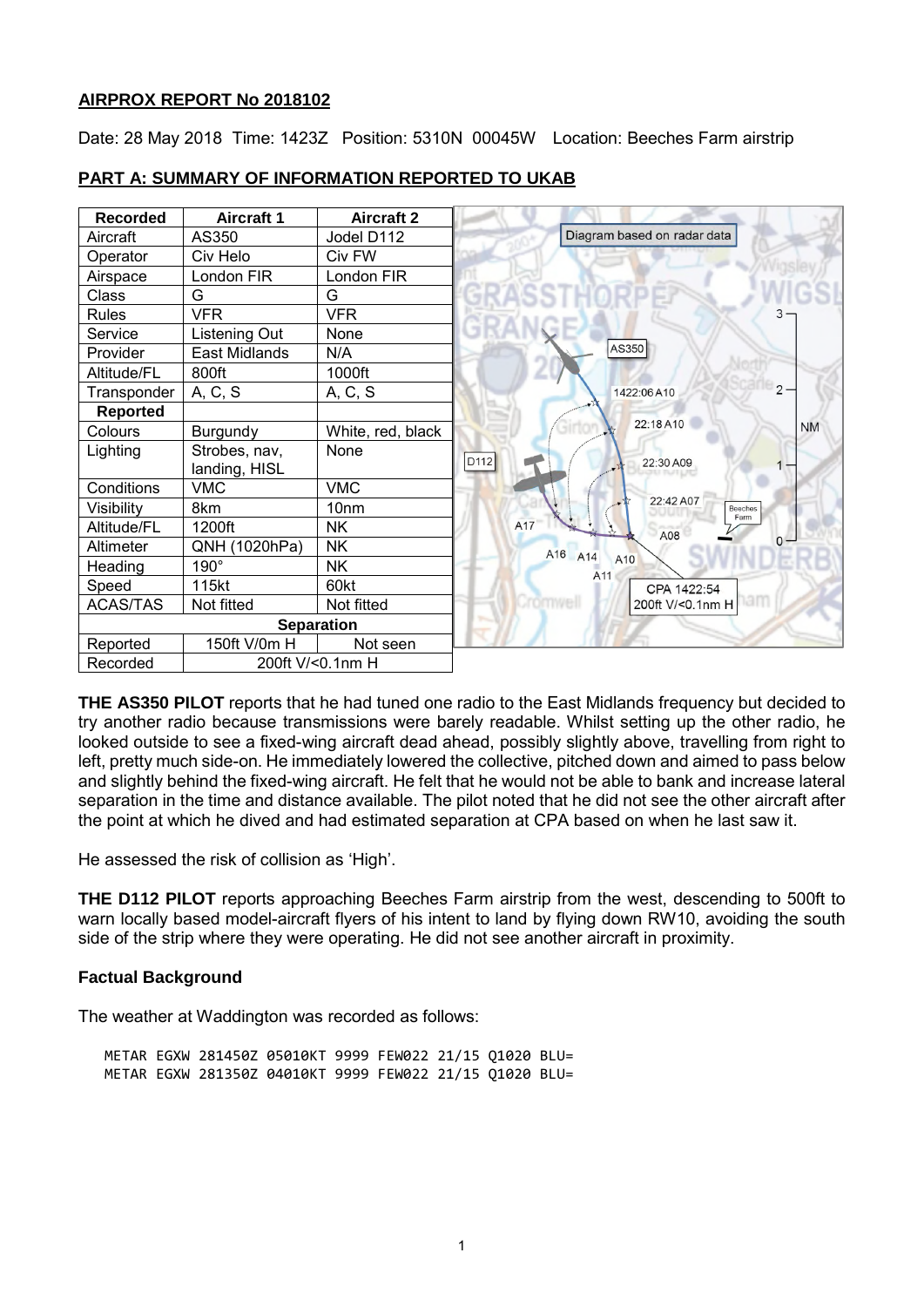## **AIRPROX REPORT No 2018102**

Date: 28 May 2018 Time: 1423Z Position: 5310N 00045W Location: Beeches Farm airstrip



## **PART A: SUMMARY OF INFORMATION REPORTED TO UKAB**

**THE AS350 PILOT** reports that he had tuned one radio to the East Midlands frequency but decided to try another radio because transmissions were barely readable. Whilst setting up the other radio, he looked outside to see a fixed-wing aircraft dead ahead, possibly slightly above, travelling from right to left, pretty much side-on. He immediately lowered the collective, pitched down and aimed to pass below and slightly behind the fixed-wing aircraft. He felt that he would not be able to bank and increase lateral separation in the time and distance available. The pilot noted that he did not see the other aircraft after the point at which he dived and had estimated separation at CPA based on when he last saw it.

He assessed the risk of collision as 'High'.

**THE D112 PILOT** reports approaching Beeches Farm airstrip from the west, descending to 500ft to warn locally based model-aircraft flyers of his intent to land by flying down RW10, avoiding the south side of the strip where they were operating. He did not see another aircraft in proximity.

# **Factual Background**

The weather at Waddington was recorded as follows:

METAR EGXW 281450Z 05010KT 9999 FEW022 21/15 Q1020 BLU= METAR EGXW 281350Z 04010KT 9999 FEW022 21/15 Q1020 BLU=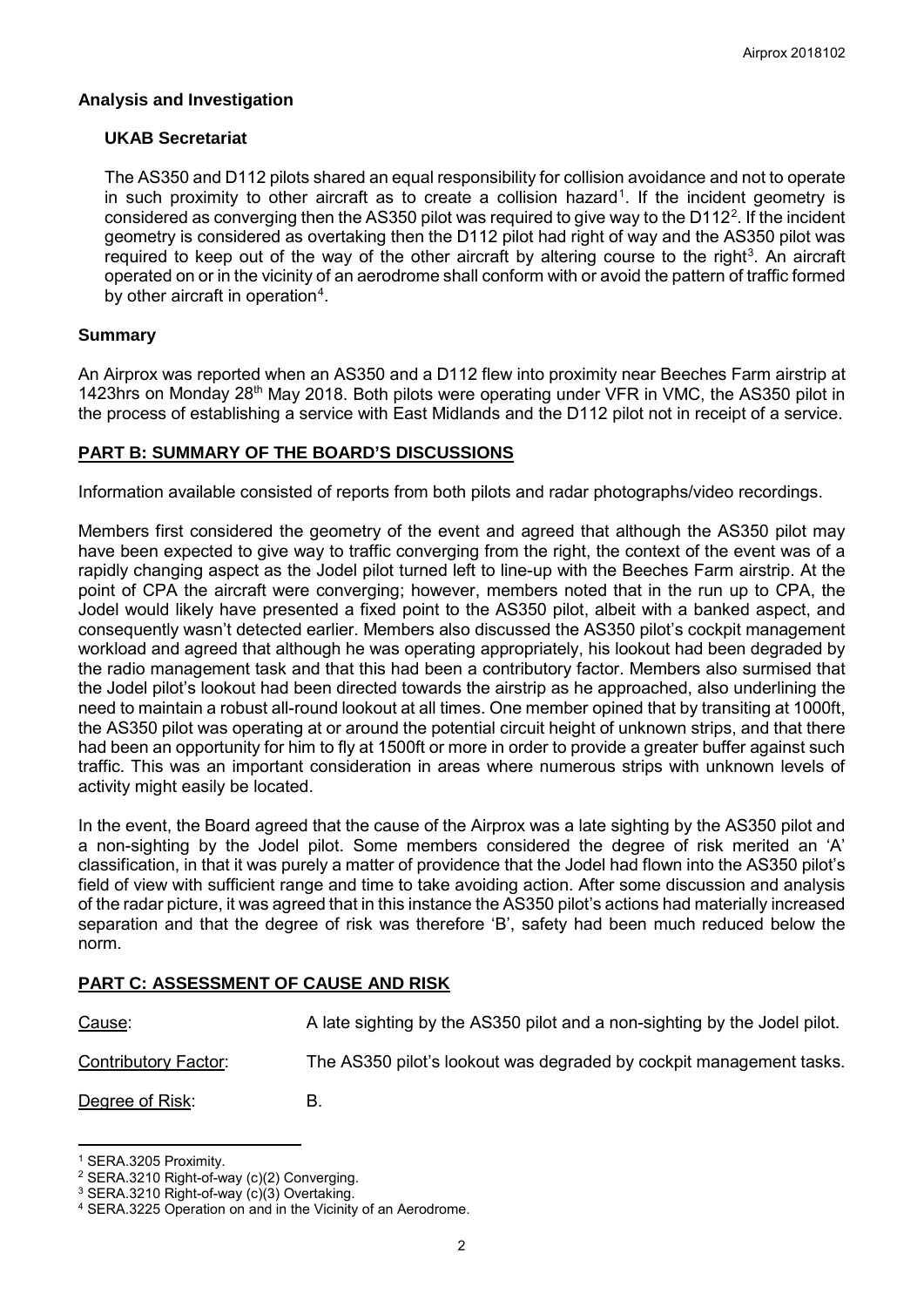## **Analysis and Investigation**

## **UKAB Secretariat**

The AS350 and D112 pilots shared an equal responsibility for collision avoidance and not to operate in such proximity to other aircraft as to create a collision hazard<sup>[1](#page-1-0)</sup>. If the incident geometry is considered as converging then the AS350 pilot was required to give way to the D11[2](#page-1-1)<sup>2</sup>. If the incident geometry is considered as overtaking then the D112 pilot had right of way and the AS350 pilot was required to keep out of the way of the other aircraft by altering course to the right<sup>[3](#page-1-2)</sup>. An aircraft operated on or in the vicinity of an aerodrome shall conform with or avoid the pattern of traffic formed by other aircraft in operation<sup>[4](#page-1-3)</sup>.

# **Summary**

An Airprox was reported when an AS350 and a D112 flew into proximity near Beeches Farm airstrip at 1423hrs on Monday 28th May 2018. Both pilots were operating under VFR in VMC, the AS350 pilot in the process of establishing a service with East Midlands and the D112 pilot not in receipt of a service.

#### **PART B: SUMMARY OF THE BOARD'S DISCUSSIONS**

Information available consisted of reports from both pilots and radar photographs/video recordings.

Members first considered the geometry of the event and agreed that although the AS350 pilot may have been expected to give way to traffic converging from the right, the context of the event was of a rapidly changing aspect as the Jodel pilot turned left to line-up with the Beeches Farm airstrip. At the point of CPA the aircraft were converging; however, members noted that in the run up to CPA, the Jodel would likely have presented a fixed point to the AS350 pilot, albeit with a banked aspect, and consequently wasn't detected earlier. Members also discussed the AS350 pilot's cockpit management workload and agreed that although he was operating appropriately, his lookout had been degraded by the radio management task and that this had been a contributory factor. Members also surmised that the Jodel pilot's lookout had been directed towards the airstrip as he approached, also underlining the need to maintain a robust all-round lookout at all times. One member opined that by transiting at 1000ft, the AS350 pilot was operating at or around the potential circuit height of unknown strips, and that there had been an opportunity for him to fly at 1500ft or more in order to provide a greater buffer against such traffic. This was an important consideration in areas where numerous strips with unknown levels of activity might easily be located.

In the event, the Board agreed that the cause of the Airprox was a late sighting by the AS350 pilot and a non-sighting by the Jodel pilot. Some members considered the degree of risk merited an 'A' classification, in that it was purely a matter of providence that the Jodel had flown into the AS350 pilot's field of view with sufficient range and time to take avoiding action. After some discussion and analysis of the radar picture, it was agreed that in this instance the AS350 pilot's actions had materially increased separation and that the degree of risk was therefore 'B', safety had been much reduced below the norm.

# **PART C: ASSESSMENT OF CAUSE AND RISK**

| <u>Cause</u> :              | A late sighting by the AS350 pilot and a non-sighting by the Jodel pilot. |
|-----------------------------|---------------------------------------------------------------------------|
| <b>Contributory Factor:</b> | The AS350 pilot's lookout was degraded by cockpit management tasks.       |
| Degree of Risk:             | В.                                                                        |

<span id="page-1-0"></span><sup>1</sup> SERA.3205 Proximity.

 $\overline{a}$ 

<span id="page-1-1"></span><sup>2</sup> SERA.3210 Right-of-way (c)(2) Converging.

<span id="page-1-2"></span><sup>3</sup> SERA.3210 Right-of-way (c)(3) Overtaking.

<span id="page-1-3"></span><sup>4</sup> SERA.3225 Operation on and in the Vicinity of an Aerodrome.